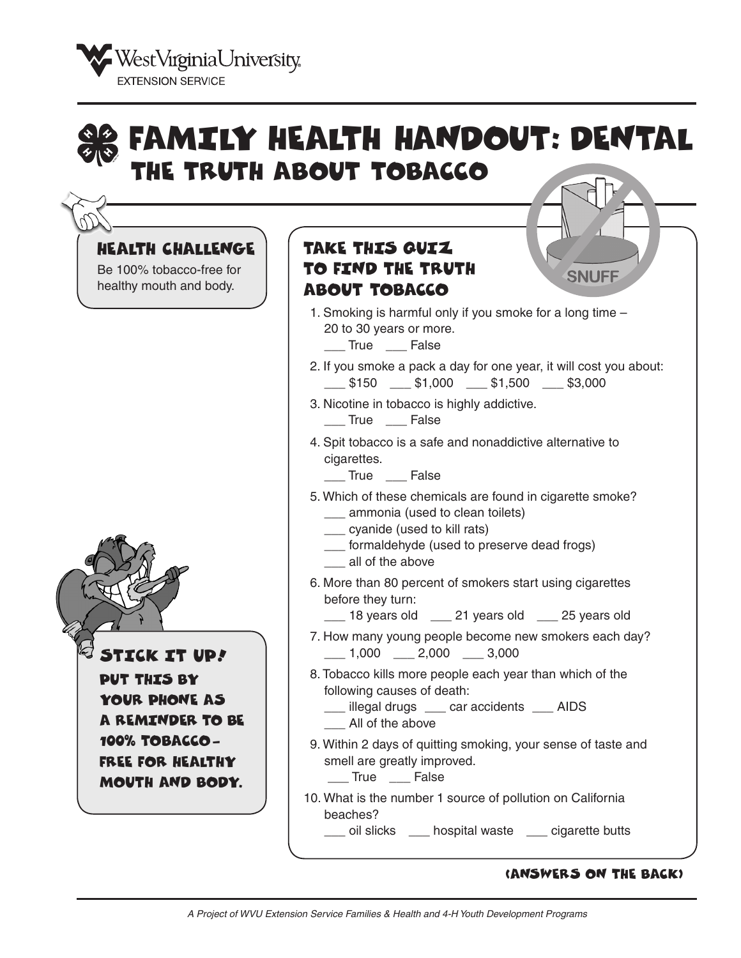

#### FAMILY HEALTH HANDOUT: DENTAL THE TRUTH ABOUT TOBACCO HEALTH CHALLENGE TAKE THIS QUIZ Be 100% tobacco-free for TO FIND THE TRUTH **SNUFF** healthy mouth and body. ABOUT TOBACCO 1. Smoking is harmful only if you smoke for a long time – 20 to 30 years or more. \_\_\_ True \_\_\_ False 2. If you smoke a pack a day for one year, it will cost you about:  $\frac{1}{2}$ \$150  $\frac{1}{2}$ \$1,000  $\frac{1}{2}$ \$1,500  $\frac{1}{2}$ \$3,000 3. Nicotine in tobacco is highly addictive. \_\_\_ True \_\_\_ False 4. Spit tobacco is a safe and nonaddictive alternative to cigarettes. \_\_\_ True \_\_\_ False 5. Which of these chemicals are found in cigarette smoke? \_\_\_ ammonia (used to clean toilets) \_\_\_ cyanide (used to kill rats) \_\_\_ formaldehyde (used to preserve dead frogs) \_\_\_ all of the above 6. More than 80 percent of smokers start using cigarettes before they turn: 18 years old <sup>21</sup> years old <sup>25</sup> years old 7. How many young people become new smokers each day?  $\_$  1,000  $\_$  2,000  $\_$  3,000 STICK IT UP! 8. Tobacco kills more people each year than which of the PUT THIS BY following causes of death: YOUR PHONE AS \_\_\_ illegal drugs \_\_\_ car accidents \_\_\_ AIDS A REMINDER TO BE \_\_\_ All of the above 100% TOBACCO-9. Within 2 days of quitting smoking, your sense of taste and smell are greatly improved. FREE FOR HEALTHY \_\_\_ True \_\_\_ False MOUTH AND BODY. 10. What is the number 1 source of pollution on California beaches? \_\_\_ oil slicks \_\_\_ hospital waste \_\_\_ cigarette butts

#### (ANSWERS ON THE BACK)